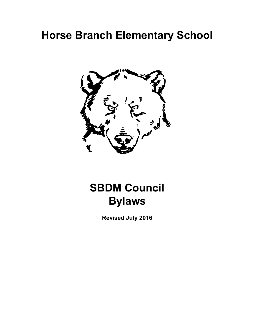# **Horse Branch Elementary School**



# **SBDM Council Bylaws**

**Revised July 2016**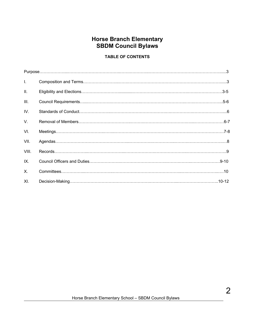# **Horse Branch Elementary SBDM Council Bylaws**

#### **TABLE OF CONTENTS**

| Ι.          |  |
|-------------|--|
| II.         |  |
| III.        |  |
| IV.         |  |
| $V_{\cdot}$ |  |
| VI.         |  |
| VII.        |  |
| VIII.       |  |
| IX.         |  |
| X.          |  |
| XI.         |  |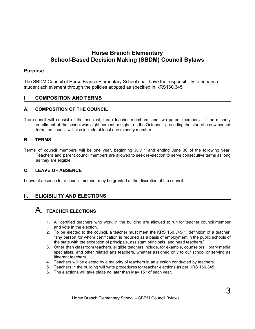## **Horse Branch Elementary School-Based Decision Making (SBDM) Council Bylaws**

#### **Purpose**

The SBDM Council of Horse Branch Elementary School shall have the responsibility to enhance student achievement through the policies adopted as specified in KRS160.345.

#### **I. COMPOSITION AND TERMS**

#### **A. COMPOSITION OF THE COUNCIL**

The council will consist of the principal, three teacher members, and two parent members. If the minority enrollment at the school was eight percent or higher on the October 1 preceding the start of a new council term, the council will also include at least one minority member.

#### **B. TERMS**

Terms of council members will be one year, beginning July 1 and ending June 30 of the following year. Teachers and parent council members are allowed to seek re-election to serve consecutive terms as long as they are eligible.

#### **C. LEAVE OF ABSENCE**

Leave of absence for a council member may be granted at the discretion of the council.

### **II. ELIGIBILITY AND ELECTIONS**

## A. **TEACHER ELECTIONS**

- 1. All certified teachers who work in the building are allowed to run for teacher council member and vote in the election.
- 2. To be elected to the council, a teacher must meet the KRS 160.345(1) definition of a teacher: "any person for whom certification is required as a basis of employment in the public schools of the state with the exception of principals, assistant principals, and head teachers."
- 3. Other than classroom teachers, eligible teachers include, for example, counselors, library media specialists, and other related arts teachers, whether assigned only to our school or serving as itinerant teachers.
- 4. Teachers will be elected by a majority of teachers in an election conducted by teachers.
- 5. Teachers in the building will write procedures for teacher elections as per KRS 160.345.
- 6. The elections will take place no later than May  $15<sup>th</sup>$  of each year.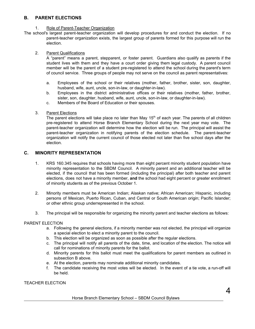#### **B. PARENT ELECTIONS**

#### 1. Role of Parent-Teacher Organization

The school's largest parent-teacher organization will develop procedures for and conduct the election. If no parent-teacher organization exists, the largest group of parents formed for this purpose will run the election.

#### 2. Parent Qualifications

A "parent" means a parent, stepparent, or foster parent. Guardians also qualify as parents if the student lives with them and they have a court order giving them legal custody. A parent council member will be the parent of a student pre-registered to attend the school during the parent's term of council service. Three groups of people may not serve on the council as parent representatives:

- a. Employees of the school or their relatives (mother, father, brother, sister, son, daughter, husband, wife, aunt, uncle, son-in-law, or daughter-in-law).
- b. Employees in the district administrative offices or their relatives (mother, father, brother, sister, son, daughter, husband, wife, aunt, uncle, son-in-law, or daughter-in-law).
- c. Members of the Board of Education or their spouses.
- 3. Parent Elections

The parent elections will take place no later than May 15<sup>th</sup> of each year. The parents of all children pre-registered to attend Horse Branch Elementary School during the next year may vote. The parent-teacher organization will determine how the election will be run. The principal will assist the parent-teacher organization in notifying parents of the election schedule. The parent-teacher organization will notify the current council of those elected not later than five school days after the election.

#### **C. MINORITY REPRESENTATION**

- 1. KRS 160.345 requires that schools having more than eight percent minority student population have minority representation to the SBDM Council. A minority parent and an additional teacher will be elected, if the council that has been formed (including the principal) after both teacher and parent elections, does not have a minority member, **and** the school had eight percent or greater enrollment of minority students as of the previous October 1.
- 2. Minority members must be American Indian; Alaskan native; African American; Hispanic, including persons of Mexican, Puerto Rican, Cuban, and Central or South American origin; Pacific Islander; or other ethnic group underrepresented in the school.
- 3. The principal will be responsible for organizing the minority parent and teacher elections as follows:

#### PARENT ELECTION

- a. Following the general elections, if a minority member was not elected, the principal will organize a special election to elect a minority parent to the council.
- b. This election will be organized as soon as possible after the regular elections.
- c. The principal will notify all parents of the date, time, and location of the election. The notice will call for nominations of minority parents for the ballot.
- d. Minority parents for this ballot must meet the qualifications for parent members as outlined in subsection B above.
- e. At the election, parents may nominate additional minority candidates.
- f. The candidate receiving the most votes will be elected. In the event of a tie vote, a run-off will be held.

#### TEACHER ELECTION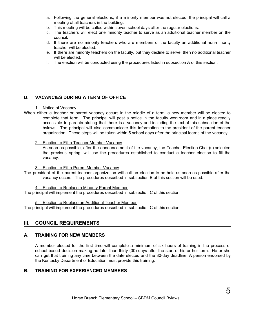- a. Following the general elections, if a minority member was not elected, the principal will call a meeting of all teachers in the building.
- b. This meeting will be called within seven school days after the regular elections.
- c. The teachers will elect one minority teacher to serve as an additional teacher member on the council.
- d. If there are no minority teachers who are members of the faculty an additional non-minority teacher will be elected.
- e. If there are minority teachers on the faculty, but they decline to serve, then no additional teacher will be elected.
- f. The election will be conducted using the procedures listed in subsection A of this section.

#### **D. VACANCIES DURING A TERM OF OFFICE**

#### 1. Notice of Vacancy

When either a teacher or parent vacancy occurs in the middle of a term, a new member will be elected to complete that term. The principal will post a notice in the faculty workroom and in a place readily accessible to parents stating that there is a vacancy and including the text of this subsection of the bylaws. The principal will also communicate this information to the president of the parent-teacher organization. These steps will be taken within 5 school days after the principal learns of the vacancy.

#### 2. Election to Fill a Teacher Member Vacancy

As soon as possible, after the announcement of the vacancy, the Teacher Election Chair(s) selected the previous spring, will use the procedures established to conduct a teacher election to fill the vacancy.

#### 3. Election to Fill a Parent Member Vacancy

The president of the parent-teacher organization will call an election to be held as soon as possible after the vacancy occurs. The procedures described in subsection B of this section will be used.

4. Election to Replace a Minority Parent Member

The principal will implement the procedures described in subsection C of this section.

#### 5. Election to Replace an Additional Teacher Member

The principal will implement the procedures described in subsection C of this section.

#### **III. COUNCIL REQUIREMENTS**

#### **A. TRAINING FOR NEW MEMBERS**

A member elected for the first time will complete a minimum of six hours of training in the process of school-based decision making no later than thirty (30) days after the start of his or her term. He or she can get that training any time between the date elected and the 30-day deadline. A person endorsed by the Kentucky Department of Education must provide this training.

#### **B. TRAINING FOR EXPERIENCED MEMBERS**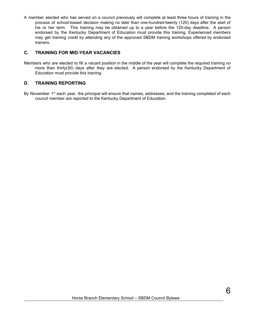A member elected who has served on a council previously will complete at least three hours of training in the process of school-based decision making no later than one-hundred-twenty (120) days after the start of his or her term. This training may be obtained up to a year before the 120-day deadline. A person endorsed by the Kentucky Department of Education must provide this training. Experienced members may get training credit by attending any of the approved SBDM training workshops offered by endorsed trainers.

#### **C. TRAINING FOR MID-YEAR VACANCIES**

Members who are elected to fill a vacant position in the middle of the year will complete the required training no more than thirty(30) days after they are elected. A person endorsed by the Kentucky Department of Education must provide this training.

#### **D. TRAINING REPORTING**

By November 1<sup>st</sup> each year, the principal will ensure that names, addresses, and the training completed of each council member are reported to the Kentucky Department of Education.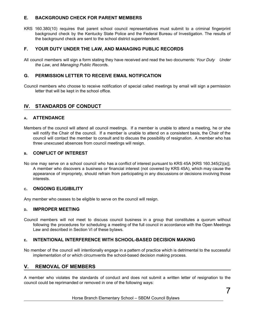#### **E. BACKGROUND CHECK FOR PARENT MEMBERS**

KRS 160.380(10) requires that parent school council representatives must submit to a criminal fingerprint background check by the Kentucky State Police and the Federal Bureau of Investigation. The results of the background check are sent to the school district superintendent.

#### **F. YOUR DUTY UNDER THE LAW, AND MANAGING PUBLIC RECORDS**

All council members will sign a form stating they have received and read the two documents: *Your Duty Under the Law*, and *Managing Public Record*s.

#### **G. PERMISSION LETTER TO RECEIVE EMAIL NOTIFICATION**

Council members who choose to receive notification of special called meetings by email will sign a permission letter that will be kept in the school office.

#### **IV. STANDARDS OF CONDUCT**

#### **<sup>A</sup>. ATTENDANCE**

Members of the council will attend all council meetings. If a member is unable to attend a meeting, he or she will notify the Chair of the council. If a member is unable to attend on a consistent basis, the Chair of the council will contact the member to consult and to discuss the possibility of resignation. A member who has three unexcused absences from council meetings will resign.

#### **<sup>B</sup>. CONFLICT OF INTEREST**

No one may serve on a school council who has a conflict of interest pursuant to KRS 45A [KRS 160.345(2)(a)]. A member who discovers a business or financial interest (not covered by KRS 45A), which may cause the appearance of impropriety, should refrain from participating in any discussions or decisions involving those interests.

#### **<sup>C</sup>. ONGOING ELIGIBILITY**

Any member who ceases to be eligible to serve on the council will resign.

#### **<sup>D</sup>. IMPROPER MEETING**

Council members will not meet to discuss council business in a group that constitutes a quorum without following the procedures for scheduling a meeting of the full council in accordance with the Open Meetings Law and described in Section VI of these bylaws.

#### **<sup>E</sup>. INTENTIONAL INTERFERENCE WITH SCHOOL-BASED DECISION MAKING**

No member of the council will intentionally engage in a pattern of practice which is detrimental to the successful implementation of or which circumvents the school-based decision making process.

#### **V. REMOVAL OF MEMBERS**

A member who violates the standards of conduct and does not submit a written letter of resignation to the council could be reprimanded or removed in one of the following ways:

#### Horse Branch Elementary School – SBDM Council Bylaws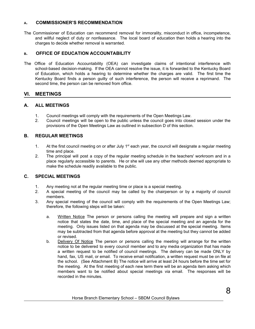#### **<sup>A</sup>. COMMISSIONER'S RECOMMENDATION**

The Commissioner of Education can recommend removal for immorality, misconduct in office, incompetence, and willful neglect of duty or nonfeasance. The local board of education then holds a hearing into the charges to decide whether removal is warranted.

#### **<sup>B</sup>. OFFICE OF EDUCATION ACCOUNTABILITY**

The Office of Education Accountability (OEA) can investigate claims of intentional interference with school-based decision-making. If the OEA cannot resolve the issue, it is forwarded to the Kentucky Board of Education, which holds a hearing to determine whether the charges are valid. The first time the Kentucky Board finds a person guilty of such interference, the person will receive a reprimand. The second time, the person can be removed from office.

#### **VI. MEETINGS**

#### **A. ALL MEETINGS**

- 1. Council meetings will comply with the requirements of the Open Meetings Law.
- 2. Council meetings will be open to the public unless the council goes into closed session under the provisions of the Open Meetings Law as outlined in subsection D of this section.

#### **B. REGULAR MEETINGS**

- 1. At the first council meeting on or after July  $1<sup>st</sup>$  each year, the council will designate a regular meeting time and place.
- 2. The principal will post a copy of the regular meeting schedule in the teachers' workroom and in a place regularly accessible to parents. He or she will use any other methods deemed appropriate to make the schedule readily available to the public.

#### **C. SPECIAL MEETINGS**

- 1. Any meeting not at the regular meeting time or place is a special meeting.
- 2. A special meeting of the council may be called by the chairperson or by a majority of council members.
- 3. Any special meeting of the council will comply with the requirements of the Open Meetings Law; therefore, the following steps will be taken:
	- a. Written Notice The person or persons calling the meeting will prepare and sign a written notice that states the date, time, and place of the special meeting and an agenda for the meeting. Only issues listed on that agenda may be discussed at the special meeting. Items may be subtracted from that agenda before approval at the meeting but they cannot be added or revised.
	- b. Delivery Of Notice The person or persons calling the meeting will arrange for the written notice to be delivered to every council member and to any media organization that has made a written request to be notified of council meetings. The delivery can be made ONLY by hand, fax, US mail, or email. To receive email notification, a written request must be on file at the school. (See Attachment B) The notice will arrive at least 24 hours before the time set for the meeting. At the first meeting of each new term there will be an agenda item asking which members want to be notified about special meetings via email. The responses will be recorded in the minutes.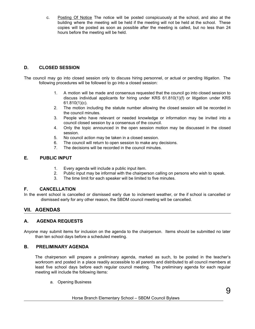c. Posting Of Notice The notice will be posted conspicuously at the school, and also at the building where the meeting will be held if the meeting will not be held at the school. These copies will be posted as soon as possible after the meeting is called, but no less than 24 hours before the meeting will be held.

#### **D. CLOSED SESSION**

The council may go into closed session only to discuss hiring personnel, or actual or pending litigation. The following procedures will be followed to go into a closed session:

- 1. A motion will be made and consensus requested that the council go into closed session to discuss individual applicants for hiring under KRS 61.810(1)(f) or litigation under KRS 61.810(1)(c).
- 2. The motion including the statute number allowing the closed session will be recorded in the council minutes.
- 3. People who have relevant or needed knowledge or information may be invited into a council closed session by a consensus of the council.
- 4. Only the topic announced in the open session motion may be discussed in the closed session.
- 5. No council action may be taken in a closed session.
- 6. The council will return to open session to make any decisions.
- 7. The decisions will be recorded in the council minutes.

#### **E. PUBLIC INPUT**

- 1. Every agenda will include a public input item.
- 2. Public input may be informal with the chairperson calling on persons who wish to speak.
- 3. The time limit for each speaker will be limited to five minutes.

#### **F. CANCELLATION**

In the event school is cancelled or dismissed early due to inclement weather, or the if school is cancelled or dismissed early for any other reason, the SBDM council meeting will be cancelled.

#### **VII. AGENDAS**

#### **A. AGENDA REQUESTS**

Anyone may submit items for inclusion on the agenda to the chairperson. Items should be submitted no later than ten school days before a scheduled meeting.

#### **B. PRELIMINARY AGENDA**

The chairperson will prepare a preliminary agenda, marked as such, to be posted in the teacher's workroom and posted in a place readily accessible to all parents and distributed to all council members at least five school days before each regular council meeting. The preliminary agenda for each regular meeting will include the following items:

a. Opening Business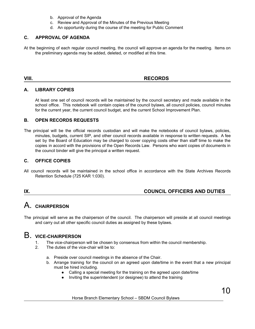- b. Approval of the Agenda
- c. Review and Approval of the Minutes of the Previous Meeting
- d. An opportunity during the course of the meeting for Public Comment

#### **C. APPROVAL OF AGENDA**

At the beginning of each regular council meeting, the council will approve an agenda for the meeting. Items on the preliminary agenda may be added, deleted, or modified at this time.

#### **VIII. RECORDS**

#### **A. LIBRARY COPIES**

At least one set of council records will be maintained by the council secretary and made available in the school office. This notebook will contain copies of the council bylaws, all council policies, council minutes for the current year, the current council budget, and the current School Improvement Plan.

#### **B. OPEN RECORDS REQUESTS**

The principal will be the official records custodian and will make the notebooks of council bylaws, policies, minutes, budgets, current SIP, and other council records available in response to written requests. A fee set by the Board of Education may be charged to cover copying costs other than staff time to make the copies in accord with the provisions of the Open Records Law. Persons who want copies of documents in the council binder will give the principal a written request.

#### **C. OFFICE COPIES**

All council records will be maintained in the school office in accordance with the State Archives Records Retention Schedule (725 KAR 1:030).

#### **IX. COUNCIL OFFICERS AND DUTIES**

# A. **CHAIRPERSON**

The principal will serve as the chairperson of the council. The chairperson will preside at all council meetings and carry out all other specific council duties as assigned by these bylaws.

# B. **VICE-CHAIRPERSON**

- 1. The vice-chairperson will be chosen by consensus from within the council membership.
- 2. The duties of the vice-chair will be to:
	- a. Preside over council meetings in the absence of the Chair.
	- b. Arrange training for the council on an agreed upon date/time in the event that a new principal must be hired including.
		- Calling a special meeting for the training on the agreed upon date/time
			- Inviting the superintendent (or designee) to attend the training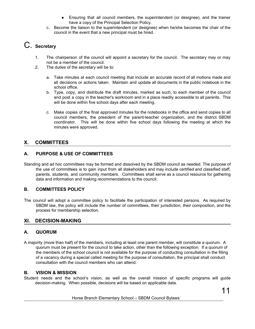- Ensuring that all council members, the superintendent (or designee), and the trainer have a copy of the Principal Selection Policy.
- c. Become the liaison to the superintendent (or designee) when he/she becomes the chair of the council in the event that a new principal must be hired.

# C. **Secretary**

- 1. The chairperson of the council will appoint a secretary for the council. The secretary may or may not be a member of the council.
- 2. The duties of the secretary will be to:
	- a. Take minutes at each council meeting that include an accurate record of all motions made and all decisions or actions taken. Maintain and update all documents in the public notebook in the school office.
	- b. Type, copy, and distribute the draft minutes, marked as such, to each member of the council and post a copy in the teacher's workroom and in a place readily accessible to all parents. This will be done within five school days after each meeting.
	- c. Make copies of the final approved minutes for the notebooks in the office and send copies to all council members, the president of the parent-teacher organization, and the district SBDM coordinator. This will be done within five school days following the meeting at which the minutes were approved.

### **X. COMMITTEES**

#### **A. PURPOSE & USE OF COMMITTEES**

Standing and ad hoc committees may be formed and dissolved by the SBDM council as needed. The purpose of the use of committees is to gain input from all stakeholders and may include certified and classified staff, parents, students, and community members. Committees shall serve as a council resource for gathering data and information and making recommendations to the council.

#### **B. COMMITTEES POLICY**

The council will adopt a committee policy to facilitate the participation of interested persons. As required by SBDM law, the policy will include the number of committees, their jurisdiction, their composition, and the process for membership selection.

#### **XI. DECISION-MAKING**

#### **A. QUORUM**

A majority (more than half) of the members, including at least one parent member, will constitute a quorum. A quorum must be present for the council to take action, other than the following exception: If a quorum of the members of the school council is not available for the purpose of conducting consultation in the filling of a vacancy during a special called meeting for the purpose of consultation, the principal shall conduct consultation with the council members who can attend.

#### **B. VISION & MISSION**

Student needs and the school's vision, as well as the overall mission of specific programs will guide decision-making. When possible, decisions will be based on applicable data.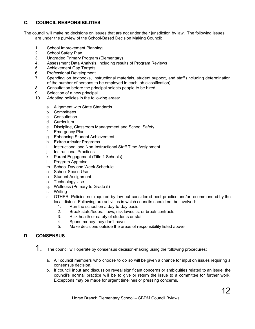#### **C. COUNCIL RESPONSIBILITIES**

The council will make no decisions on issues that are not under their jurisdiction by law. The following issues are under the purview of the School-Based Decision Making Council:

- 1. School Improvement Planning
- 2. School Safety Plan
- 3. Ungraded Primary Program (Elementary)
- 4. Assessment Data Analysis, including results of Program Reviews
- 5. Achievement Gap Targets
- 6. Professional Development
- 7. Spending on textbooks, instructional materials, student support, and staff (including determination of the number of persons to be employed in each job classification)
- 8. Consultation before the principal selects people to be hired
- 9. Selection of a new principal
- 10. Adopting policies in the following areas:
	- a. Alignment with State Standards
	- b. Committees
	- c. Consultation
	- d. Curriculum
	- e. Discipline, Classroom Management and School Safety
	- f. Emergency Plan
	- g. Enhancing Student Achievement
	- h. Extracurricular Programs
	- i. Instructional and Non-Instructional Staff Time Assignment
	- j. Instructional Practices
	- k. Parent Engagement (Title 1 Schools)
	- l. Program Appraisal
	- m. School Day and Week Schedule
	- n. School Space Use
	- o. Student Assignment
	- p. Technology Use
	- q. Wellness (Primary to Grade 5)
	- r. Writing
	- s. OTHER: Policies not required by law but considered best practice and/or recommended by the local district. Following are activities in which councils should not be involved:
		- 1. Run the school on a day-to-day basis
		- 2. Break state/federal laws, risk lawsuits, or break contracts
		- 3. Risk health or safety of students or staff
		- 4. Spend money they don't have
		- 5. Make decisions outside the areas of responsibility listed above

#### **D. CONSENSUS**

- 1. The council will operate by consensus decision-making using the following procedures:
	- a. All council members who choose to do so will be given a chance for input on issues requiring a consensus decision.
	- b. If council input and discussion reveal significant concerns or ambiguities related to an issue, the council's normal practice will be to give or return the issue to a committee for further work. Exceptions may be made for urgent timelines or pressing concerns.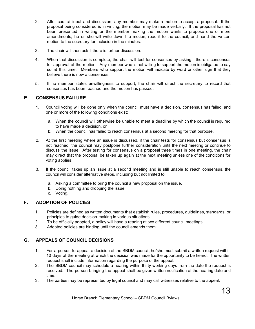- 2. After council input and discussion, any member may make a motion to accept a proposal. If the proposal being considered is in writing, the motion may be made verbally. If the proposal has not been presented in writing or the member making the motion wants to propose one or more amendments, he or she will write down the motion, read it to the council, and hand the written motion to the secretary for inclusion in the minutes.
- 3. The chair will then ask if there is further discussion.
- 4. When that discussion is complete, the chair will test for consensus by asking if there is consensus for approval of the motion. Any member who is not willing to support the motion is obligated to say so at this time. Members who support the motion will indicate by word or other sign that they believe there is now a consensus.
- 5. If no member states unwillingness to support, the chair will direct the secretary to record that consensus has been reached and the motion has passed.

#### **E. CONSENSUS FAILURE**

- 1. Council voting will be done only when the council must have a decision, consensus has failed, and one or more of the following conditions exist:
	- a. When the council will otherwise be unable to meet a deadline by which the council is required to have made a decision, or
	- b. When the council has failed to reach consensus at a second meeting for that purpose.
- 2. At the first meeting where an issue is discussed, if the chair tests for consensus but consensus is not reached, the council may postpone further consideration until the next meeting or continue to discuss the issue. After testing for consensus on a proposal three times in one meeting, the chair may direct that the proposal be taken up again at the next meeting unless one of the conditions for voting applies.
- 3. If the council takes up an issue at a second meeting and is still unable to reach consensus, the council will consider alternative steps, including but not limited to:
	- a. Asking a committee to bring the council a new proposal on the issue.
	- b. Doing nothing and dropping the issue.
	- c. Voting.

#### **F. ADOPTION OF POLICIES**

- 1. Policies are defined as written documents that establish rules, procedures, guidelines, standards, or principles to guide decision-making in various situations.
- 2. To be officially adopted, a policy will have a reading at two different council meetings.
- 3. Adopted policies are binding until the council amends them.

#### **G. APPEALS OF COUNCIL DECISIONS**

- 1. For a person to appeal a decision of the SBDM council, he/she must submit a written request within 10 days of the meeting at which the decision was made for the opportunity to be heard. The written request shall include information regarding the purpose of the appeal.
- 2. The SBDM council may schedule a hearing within thirty working days from the date the request is received. The person bringing the appeal shall be given written notification of the hearing date and time.
- 3. The parties may be represented by legal council and may call witnesses relative to the appeal.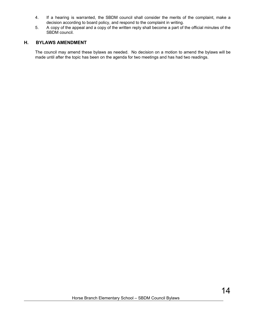- 4. If a hearing is warranted, the SBDM council shall consider the merits of the complaint, make a decision according to board policy, and respond to the complaint in writing.
- 5. A copy of the appeal and a copy of the written reply shall become a part of the official minutes of the SBDM council.

#### **H. BYLAWS AMENDMENT**

The council may amend these bylaws as needed. No decision on a motion to amend the bylaws will be made until after the topic has been on the agenda for two meetings and has had two readings.